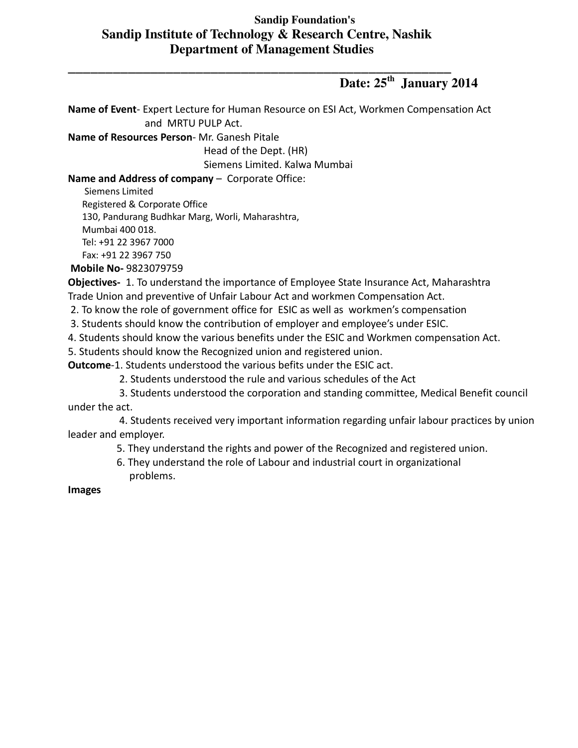## **Sandip Foundation's Sandip Institute of Technology & Research Centre, Nashik Department of Management Studies**

\_\_\_\_\_\_\_\_\_\_\_\_\_\_\_\_\_\_\_\_\_\_\_\_\_\_\_\_\_\_\_\_\_\_\_\_\_\_\_\_\_\_\_\_\_\_\_\_\_\_\_

## **Date: 25th January 2014**

**Name of Event**- Expert Lecture for Human Resource on ESI Act, Workmen Compensation Act and MRTU PULP Act.

**Name of Resources Person**- Mr. Ganesh Pitale

Head of the Dept. (HR)

Siemens Limited. Kalwa Mumbai

## **Name and Address of company** – Corporate Office:

Siemens Limited

Registered & Corporate Office

130, Pandurang Budhkar Marg, Worli, Maharashtra,

Mumbai 400 018.

Tel: +91 22 3967 7000

Fax: +91 22 3967 750

 **Mobile No-** 9823079759

**Objectives-** 1. To understand the importance of Employee State Insurance Act, Maharashtra Trade Union and preventive of Unfair Labour Act and workmen Compensation Act.

2. To know the role of government office for ESIC as well as workmen's compensation

3. Students should know the contribution of employer and employee's under ESIC.

4. Students should know the various benefits under the ESIC and Workmen compensation Act.

5. Students should know the Recognized union and registered union.

**Outcome**-1. Students understood the various befits under the ESIC act.

2. Students understood the rule and various schedules of the Act

 3. Students understood the corporation and standing committee, Medical Benefit council under the act.

 4. Students received very important information regarding unfair labour practices by union leader and employer.

5. They understand the rights and power of the Recognized and registered union.

 6. They understand the role of Labour and industrial court in organizational problems.

**Images**